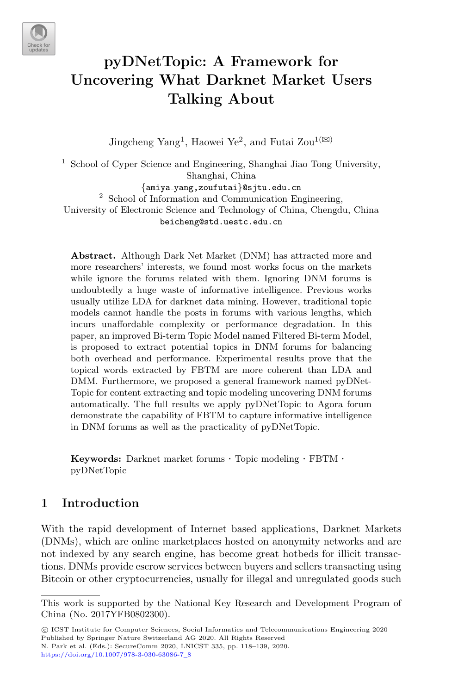

# pyDNetTopic: A Framework for Uncovering What Darknet Market Users Talking About

Jingcheng Yang<sup>1</sup>, Haowei Ye<sup>2</sup>, and Futai Zou<sup>1( $\boxtimes$ )</sup>

<sup>1</sup> School of Cyper Science and Engineering, Shanghai Jiao Tong University, Shanghai, China {amiya yang,zoufutai}@sjtu.edu.cn <sup>2</sup> School of Information and Communication Engineering, University of Electronic Science and Technology of China, Chengdu, China beicheng@std.uestc.edu.cn

Abstract. Although Dark Net Market (DNM) has attracted more and more researchers' interests, we found most works focus on the markets while ignore the forums related with them. Ignoring DNM forums is undoubtedly a huge waste of informative intelligence. Previous works usually utilize LDA for darknet data mining. However, traditional topic models cannot handle the posts in forums with various lengths, which incurs unaffordable complexity or performance degradation. In this paper, an improved Bi-term Topic Model named Filtered Bi-term Model, is proposed to extract potential topics in DNM forums for balancing both overhead and performance. Experimental results prove that the topical words extracted by FBTM are more coherent than LDA and DMM. Furthermore, we proposed a general framework named pyDNet-Topic for content extracting and topic modeling uncovering DNM forums automatically. The full results we apply pyDNetTopic to Agora forum demonstrate the capability of FBTM to capture informative intelligence in DNM forums as well as the practicality of pyDNetTopic.

Keywords: Darknet market forums · Topic modeling · FBTM · pyDNetTopic

# 1 Introduction

With the rapid development of Internet based applications, Darknet Markets (DNMs), which are online marketplaces hosted on anonymity networks and are not indexed by any search engine, has become great hotbeds for illicit transactions. DNMs provide escrow services between buyers and sellers transacting using Bitcoin or other cryptocurrencies, usually for illegal and unregulated goods such

This work is supported by the National Key Research and Development Program of China (No. 2017YFB0802300).

<sup>©</sup> ICST Institute for Computer Sciences, Social Informatics and Telecommunications Engineering 2020 Published by Springer Nature Switzerland AG 2020. All Rights Reserved N. Park et al. (Eds.): SecureComm 2020, LNICST 335, pp. 118–139, 2020. [https://doi.org/10.1007/978-3-030-63086-7](https://doi.org/10.1007/978-3-030-63086-7_8)\_<sup>8</sup>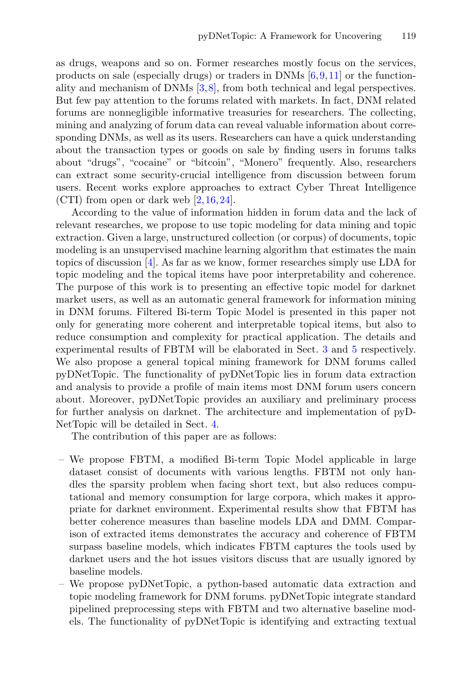as drugs, weapons and so on. Former researches mostly focus on the services, products on sale (especially drugs) or traders in DNMs  $[6, 9, 11]$  $[6, 9, 11]$  $[6, 9, 11]$  $[6, 9, 11]$  or the functionality and mechanism of DNMs [\[3](#page-19-0)[,8](#page-20-3)], from both technical and legal perspectives. But few pay attention to the forums related with markets. In fact, DNM related forums are nonnegligible informative treasuries for researchers. The collecting, mining and analyzing of forum data can reveal valuable information about corresponding DNMs, as well as its users. Researchers can have a quick understanding about the transaction types or goods on sale by finding users in forums talks about "drugs", "cocaine" or "bitcoin", "Monero" frequently. Also, researchers can extract some security-crucial intelligence from discussion between forum users. Recent works explore approaches to extract Cyber Threat Intelligence (CTI) from open or dark web [\[2](#page-19-1)[,16](#page-20-4),[24\]](#page-21-0).

According to the value of information hidden in forum data and the lack of relevant researches, we propose to use topic modeling for data mining and topic extraction. Given a large, unstructured collection (or corpus) of documents, topic modeling is an unsupervised machine learning algorithm that estimates the main topics of discussion [\[4\]](#page-19-2). As far as we know, former researches simply use LDA for topic modeling and the topical items have poor interpretability and coherence. The purpose of this work is to presenting an effective topic model for darknet market users, as well as an automatic general framework for information mining in DNM forums. Filtered Bi-term Topic Model is presented in this paper not only for generating more coherent and interpretable topical items, but also to reduce consumption and complexity for practical application. The details and experimental results of FBTM will be elaborated in Sect. [3](#page-3-0) and [5](#page-7-0) respectively. We also propose a general topical mining framework for DNM forums called pyDNetTopic. The functionality of pyDNetTopic lies in forum data extraction and analysis to provide a profile of main items most DNM forum users concern about. Moreover, pyDNetTopic provides an auxiliary and preliminary process for further analysis on darknet. The architecture and implementation of pyD-NetTopic will be detailed in Sect. [4.](#page-5-0)

The contribution of this paper are as follows:

- We propose FBTM, a modified Bi-term Topic Model applicable in large dataset consist of documents with various lengths. FBTM not only handles the sparsity problem when facing short text, but also reduces computational and memory consumption for large corpora, which makes it appropriate for darknet environment. Experimental results show that FBTM has better coherence measures than baseline models LDA and DMM. Comparison of extracted items demonstrates the accuracy and coherence of FBTM surpass baseline models, which indicates FBTM captures the tools used by darknet users and the hot issues visitors discuss that are usually ignored by baseline models.
- We propose pyDNetTopic, a python-based automatic data extraction and topic modeling framework for DNM forums. pyDNetTopic integrate standard pipelined preprocessing steps with FBTM and two alternative baseline models. The functionality of pyDNetTopic is identifying and extracting textual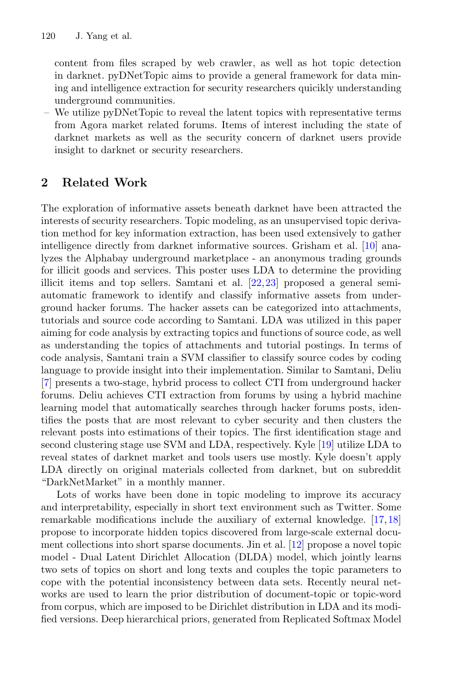content from files scraped by web crawler, as well as hot topic detection in darknet. pyDNetTopic aims to provide a general framework for data mining and intelligence extraction for security researchers quicikly understanding underground communities.

– We utilize pyDNetTopic to reveal the latent topics with representative terms from Agora market related forums. Items of interest including the state of darknet markets as well as the security concern of darknet users provide insight to darknet or security researchers.

# 2 Related Work

The exploration of informative assets beneath darknet have been attracted the interests of security researchers. Topic modeling, as an unsupervised topic derivation method for key information extraction, has been used extensively to gather intelligence directly from darknet informative sources. Grisham et al. [\[10\]](#page-20-5) analyzes the Alphabay underground marketplace - an anonymous trading grounds for illicit goods and services. This poster uses LDA to determine the providing illicit items and top sellers. Samtani et al. [\[22](#page-20-6),[23\]](#page-20-7) proposed a general semiautomatic framework to identify and classify informative assets from underground hacker forums. The hacker assets can be categorized into attachments, tutorials and source code according to Samtani. LDA was utilized in this paper aiming for code analysis by extracting topics and functions of source code, as well as understanding the topics of attachments and tutorial postings. In terms of code analysis, Samtani train a SVM classifier to classify source codes by coding language to provide insight into their implementation. Similar to Samtani, Deliu [\[7](#page-20-8)] presents a two-stage, hybrid process to collect CTI from underground hacker forums. Deliu achieves CTI extraction from forums by using a hybrid machine learning model that automatically searches through hacker forums posts, identifies the posts that are most relevant to cyber security and then clusters the relevant posts into estimations of their topics. The first identification stage and second clustering stage use SVM and LDA, respectively. Kyle [\[19](#page-20-9)] utilize LDA to reveal states of darknet market and tools users use mostly. Kyle doesn't apply LDA directly on original materials collected from darknet, but on subreddit "DarkNetMarket" in a monthly manner.

Lots of works have been done in topic modeling to improve its accuracy and interpretability, especially in short text environment such as Twitter. Some remarkable modifications include the auxiliary of external knowledge. [\[17](#page-20-10)[,18](#page-20-11)] propose to incorporate hidden topics discovered from large-scale external document collections into short sparse documents. Jin et al. [\[12\]](#page-20-12) propose a novel topic model - Dual Latent Dirichlet Allocation (DLDA) model, which jointly learns two sets of topics on short and long texts and couples the topic parameters to cope with the potential inconsistency between data sets. Recently neural networks are used to learn the prior distribution of document-topic or topic-word from corpus, which are imposed to be Dirichlet distribution in LDA and its modified versions. Deep hierarchical priors, generated from Replicated Softmax Model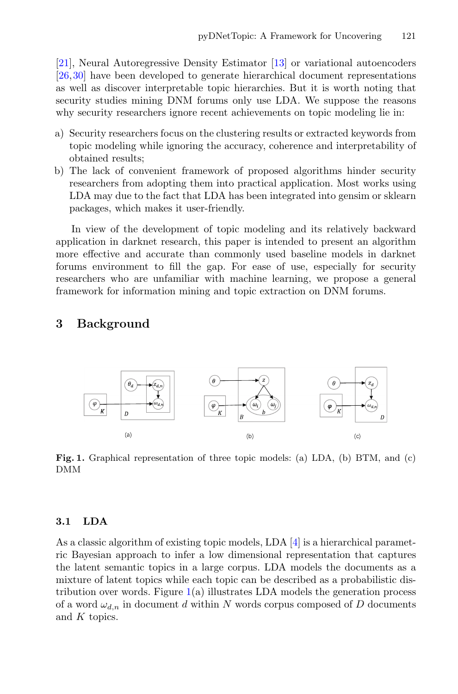[\[21](#page-20-13)], Neural Autoregressive Density Estimator [\[13\]](#page-20-14) or variational autoencoders [\[26](#page-21-1)[,30](#page-21-2)] have been developed to generate hierarchical document representations as well as discover interpretable topic hierarchies. But it is worth noting that security studies mining DNM forums only use LDA. We suppose the reasons why security researchers ignore recent achievements on topic modeling lie in:

- a) Security researchers focus on the clustering results or extracted keywords from topic modeling while ignoring the accuracy, coherence and interpretability of obtained results;
- b) The lack of convenient framework of proposed algorithms hinder security researchers from adopting them into practical application. Most works using LDA may due to the fact that LDA has been integrated into gensim or sklearn packages, which makes it user-friendly.

In view of the development of topic modeling and its relatively backward application in darknet research, this paper is intended to present an algorithm more effective and accurate than commonly used baseline models in darknet forums environment to fill the gap. For ease of use, especially for security researchers who are unfamiliar with machine learning, we propose a general framework for information mining and topic extraction on DNM forums.

## <span id="page-3-0"></span>3 Background

<span id="page-3-1"></span>

Fig. 1. Graphical representation of three topic models: (a) LDA, (b) BTM, and (c) DMM

#### 3.1 LDA

As a classic algorithm of existing topic models, LDA  $[4]$  is a hierarchical parametric Bayesian approach to infer a low dimensional representation that captures the latent semantic topics in a large corpus. LDA models the documents as a mixture of latent topics while each topic can be described as a probabilistic distribution over words. Figure  $1(a)$  $1(a)$  illustrates LDA models the generation process of a word  $\omega_{d,n}$  in document d within N words corpus composed of D documents and K topics.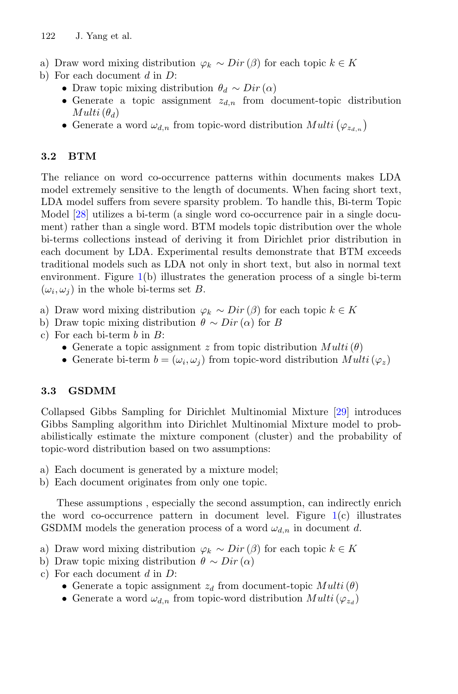- a) Draw word mixing distribution  $\varphi_k \sim Dir(\beta)$  for each topic  $k \in K$
- b) For each document  $d$  in  $D$ :
	- Draw topic mixing distribution  $\theta_d \sim Dir(\alpha)$
	- Generate a topic assignment  $z_{d,n}$  from document-topic distribution  $Multi(\theta_d)$
	- Generate a word  $\omega_{d,n}$  from topic-word distribution  $Multi(\varphi_{z_{d,n}})$

## 3.2 BTM

The reliance on word co-occurrence patterns within documents makes LDA model extremely sensitive to the length of documents. When facing short text, LDA model suffers from severe sparsity problem. To handle this, Bi-term Topic Model [\[28\]](#page-21-3) utilizes a bi-term (a single word co-occurrence pair in a single document) rather than a single word. BTM models topic distribution over the whole bi-terms collections instead of deriving it from Dirichlet prior distribution in each document by LDA. Experimental results demonstrate that BTM exceeds traditional models such as LDA not only in short text, but also in normal text environment. Figure [1\(](#page-3-1)b) illustrates the generation process of a single bi-term  $(\omega_i, \omega_j)$  in the whole bi-terms set B.

- a) Draw word mixing distribution  $\varphi_k \sim Dir(\beta)$  for each topic  $k \in K$
- b) Draw topic mixing distribution  $\theta \sim Dir(\alpha)$  for B
- c) For each bi-term  $b$  in  $B$ :
	- Generate a topic assignment z from topic distribution  $Multi(\theta)$
	- Generate bi-term  $b = (\omega_i, \omega_j)$  from topic-word distribution  $Multi(\varphi_z)$

### 3.3 GSDMM

Collapsed Gibbs Sampling for Dirichlet Multinomial Mixture [\[29\]](#page-21-4) introduces Gibbs Sampling algorithm into Dirichlet Multinomial Mixture model to probabilistically estimate the mixture component (cluster) and the probability of topic-word distribution based on two assumptions:

- a) Each document is generated by a mixture model;
- b) Each document originates from only one topic.

These assumptions , especially the second assumption, can indirectly enrich the word co-occurrence pattern in document level. Figure  $1(c)$  $1(c)$  illustrates GSDMM models the generation process of a word  $\omega_{d,n}$  in document d.

- a) Draw word mixing distribution  $\varphi_k \sim Dir(\beta)$  for each topic  $k \in K$
- b) Draw topic mixing distribution  $\theta \sim Dir(\alpha)$
- c) For each document  $d$  in  $D$ :
	- Generate a topic assignment  $z_d$  from document-topic  $Multi(\theta)$
	- Generate a word  $\omega_{d,n}$  from topic-word distribution  $Multi(\varphi_{z_d})$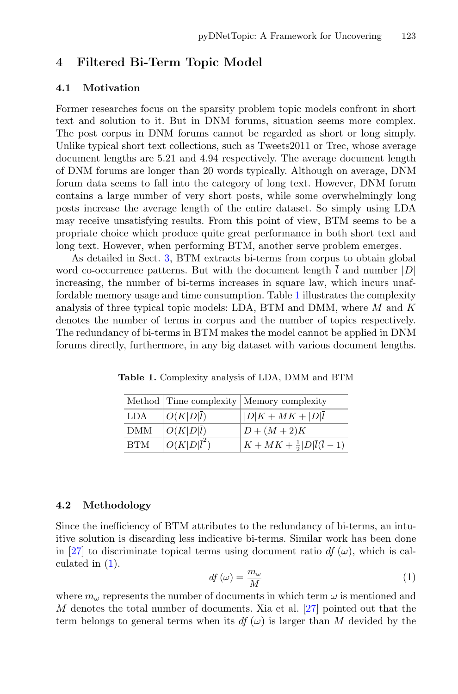# <span id="page-5-0"></span>4 Filtered Bi-Term Topic Model

#### 4.1 Motivation

Former researches focus on the sparsity problem topic models confront in short text and solution to it. But in DNM forums, situation seems more complex. The post corpus in DNM forums cannot be regarded as short or long simply. Unlike typical short text collections, such as Tweets2011 or Trec, whose average document lengths are 5.21 and 4.94 respectively. The average document length of DNM forums are longer than 20 words typically. Although on average, DNM forum data seems to fall into the category of long text. However, DNM forum contains a large number of very short posts, while some overwhelmingly long posts increase the average length of the entire dataset. So simply using LDA may receive unsatisfying results. From this point of view, BTM seems to be a propriate choice which produce quite great performance in both short text and long text. However, when performing BTM, another serve problem emerges.

As detailed in Sect. [3,](#page-3-0) BTM extracts bi-terms from corpus to obtain global word co-occurrence patterns. But with the document length  $\overline{l}$  and number |D| increasing, the number of bi-terms increases in square law, which incurs unaffordable memory usage and time consumption. Table [1](#page-5-1) illustrates the complexity analysis of three typical topic models: LDA, BTM and DMM, where  $M$  and  $K$ denotes the number of terms in corpus and the number of topics respectively. The redundancy of bi-terms in BTM makes the model cannot be applied in DNM forums directly, furthermore, in any big dataset with various document lengths.

|            |                         | Method Time complexity   Memory complexity  |
|------------|-------------------------|---------------------------------------------|
| LDA        | $O(K D \overline{l})$   | $ D K+MK+ D \bar{l}$                        |
| DMM        | $O(K D \overline{l})$   | $D + (M + 2)K$                              |
| <b>BTM</b> | $O(K D \overline{l}^2)$ | $K + MK + \frac{1}{2} D \bar{l}(\bar{l}-1)$ |

<span id="page-5-1"></span>Table 1. Complexity analysis of LDA, DMM and BTM

#### 4.2 Methodology

Since the inefficiency of BTM attributes to the redundancy of bi-terms, an intuitive solution is discarding less indicative bi-terms. Similar work has been done in [\[27](#page-21-5)] to discriminate topical terms using document ratio df  $(\omega)$ , which is calculated in [\(1\)](#page-5-2).

<span id="page-5-2"></span>
$$
df\left(\omega\right) = \frac{m_{\omega}}{M} \tag{1}
$$

where  $m_{\omega}$  represents the number of documents in which term  $\omega$  is mentioned and  $M$  denotes the total number of documents. Xia et al.  $[27]$  pointed out that the term belongs to general terms when its  $df(\omega)$  is larger than M devided by the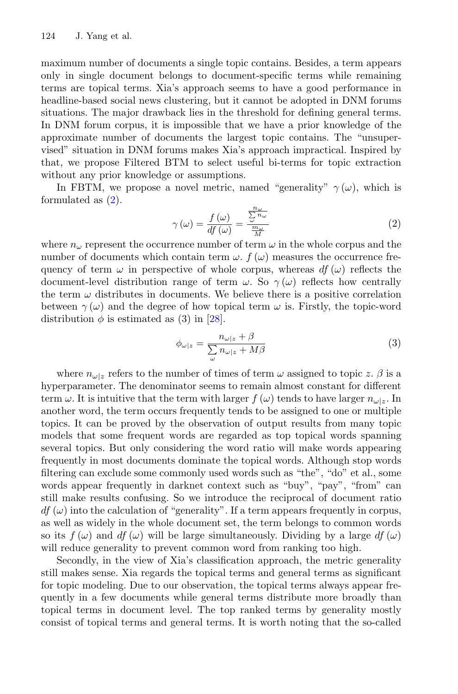maximum number of documents a single topic contains. Besides, a term appears only in single document belongs to document-specific terms while remaining terms are topical terms. Xia's approach seems to have a good performance in headline-based social news clustering, but it cannot be adopted in DNM forums situations. The major drawback lies in the threshold for defining general terms. In DNM forum corpus, it is impossible that we have a prior knowledge of the approximate number of documents the largest topic contains. The "unsupervised" situation in DNM forums makes Xia's approach impractical. Inspired by that, we propose Filtered BTM to select useful bi-terms for topic extraction without any prior knowledge or assumptions.

In FBTM, we propose a novel metric, named "generality"  $\gamma(\omega)$ , which is formulated as  $(2)$ .

<span id="page-6-0"></span>
$$
\gamma(\omega) = \frac{f(\omega)}{df(\omega)} = \frac{\frac{n\omega}{\omega} - \frac{n\omega}{\omega}}{\frac{m\omega}{M}}
$$
(2)

where  $n_{\omega}$  represent the occurrence number of term  $\omega$  in the whole corpus and the number of documents which contain term  $\omega$ .  $f(\omega)$  measures the occurrence frequency of term  $\omega$  in perspective of whole corpus, whereas  $df(\omega)$  reflects the document-level distribution range of term  $\omega$ . So  $\gamma(\omega)$  reflects how centrally the term  $\omega$  distributes in documents. We believe there is a positive correlation between  $\gamma(\omega)$  and the degree of how topical term  $\omega$  is. Firstly, the topic-word distribution  $\phi$  is estimated as (3) in [\[28](#page-21-3)].

$$
\phi_{\omega|z} = \frac{n_{\omega|z} + \beta}{\sum_{\omega} n_{\omega|z} + M\beta} \tag{3}
$$

where  $n_{\omega|z}$  refers to the number of times of term  $\omega$  assigned to topic z.  $\beta$  is a hyperparameter. The denominator seems to remain almost constant for different term  $\omega$ . It is intuitive that the term with larger  $f(\omega)$  tends to have larger  $n_{\omega|z}$ . In another word, the term occurs frequently tends to be assigned to one or multiple topics. It can be proved by the observation of output results from many topic models that some frequent words are regarded as top topical words spanning several topics. But only considering the word ratio will make words appearing frequently in most documents dominate the topical words. Although stop words filtering can exclude some commonly used words such as "the", "do" et al., some words appear frequently in darknet context such as "buy", "pay", "from" can still make results confusing. So we introduce the reciprocal of document ratio  $df(\omega)$  into the calculation of "generality". If a term appears frequently in corpus, as well as widely in the whole document set, the term belongs to common words so its  $f(\omega)$  and  $df(\omega)$  will be large simultaneously. Dividing by a large  $df(\omega)$ will reduce generality to prevent common word from ranking too high.

Secondly, in the view of Xia's classification approach, the metric generality still makes sense. Xia regards the topical terms and general terms as significant for topic modeling. Due to our observation, the topical terms always appear frequently in a few documents while general terms distribute more broadly than topical terms in document level. The top ranked terms by generality mostly consist of topical terms and general terms. It is worth noting that the so-called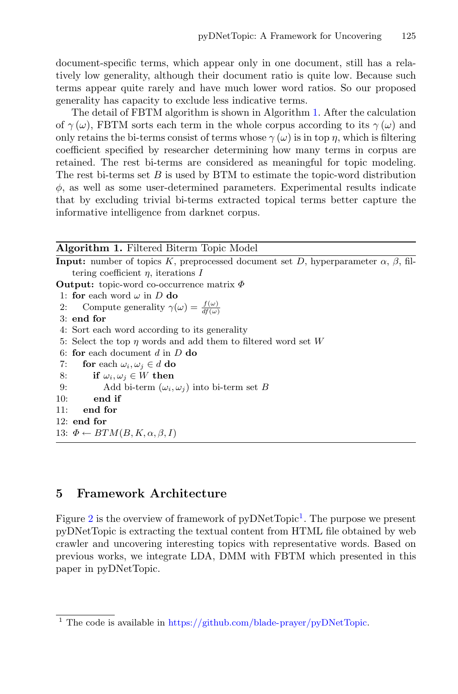document-specific terms, which appear only in one document, still has a relatively low generality, although their document ratio is quite low. Because such terms appear quite rarely and have much lower word ratios. So our proposed generality has capacity to exclude less indicative terms.

The detail of FBTM algorithm is shown in Algorithm [1.](#page-7-1) After the calculation of  $\gamma(\omega)$ , FBTM sorts each term in the whole corpus according to its  $\gamma(\omega)$  and only retains the bi-terms consist of terms whose  $\gamma(\omega)$  is in top  $\eta$ , which is filtering coefficient specified by researcher determining how many terms in corpus are retained. The rest bi-terms are considered as meaningful for topic modeling. The rest bi-terms set  $B$  is used by BTM to estimate the topic-word distribution  $\phi$ , as well as some user-determined parameters. Experimental results indicate that by excluding trivial bi-terms extracted topical terms better capture the informative intelligence from darknet corpus.

<span id="page-7-1"></span>

| <b>Algorithm 1. Filtered Biterm Topic Model</b>                                                         |
|---------------------------------------------------------------------------------------------------------|
| <b>Input:</b> number of topics K, preprocessed document set D, hyperparameter $\alpha$ , $\beta$ , fil- |
| tering coefficient $\eta$ , iterations I                                                                |
| <b>Output:</b> topic-word co-occurrence matrix $\Phi$                                                   |
| 1: for each word $\omega$ in D do                                                                       |
| 2: Compute generality $\gamma(\omega) = \frac{f(\omega)}{df(\omega)}$                                   |
| $3:$ end for                                                                                            |
| 4: Sort each word according to its generality                                                           |
| 5: Select the top $\eta$ words and add them to filtered word set W                                      |
| 6: for each document $d$ in $D$ do                                                                      |
| 7:<br>for each $\omega_i, \omega_j \in d$ do                                                            |
| if $\omega_i, \omega_j \in W$ then<br>8:                                                                |
| Add bi-term $(\omega_i, \omega_j)$ into bi-term set B<br>9:                                             |
| 10:<br>end if                                                                                           |
| 11:<br>end for                                                                                          |
| $12:$ end for                                                                                           |
| 13: $\Phi \leftarrow BTM(B, K, \alpha, \beta, I)$                                                       |
|                                                                                                         |

### <span id="page-7-0"></span>5 Framework Architecture

Figure [2](#page-8-0) is the overview of framework of pyDNetTopic<sup>[1](#page-7-2)</sup>. The purpose we present pyDNetTopic is extracting the textual content from HTML file obtained by web crawler and uncovering interesting topics with representative words. Based on previous works, we integrate LDA, DMM with FBTM which presented in this paper in pyDNetTopic.

<span id="page-7-2"></span> $^{\rm 1}$  The code is available in [https://github.com/blade-prayer/pyDNetTopic.](https://github.com/blade-prayer/pyDNetTopic)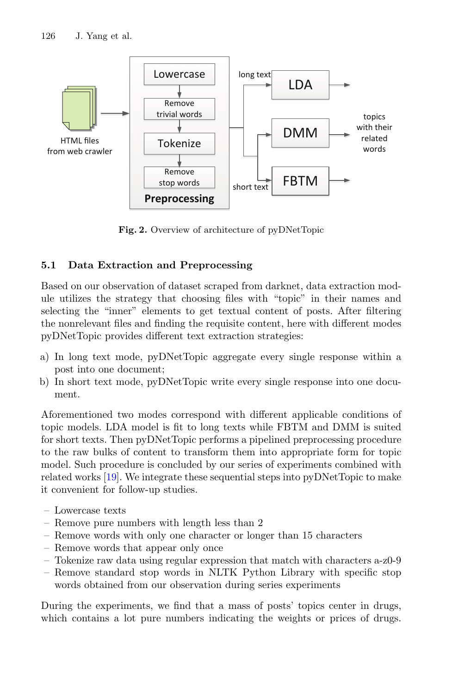

<span id="page-8-0"></span>Fig. 2. Overview of architecture of pyDNetTopic

## 5.1 Data Extraction and Preprocessing

Based on our observation of dataset scraped from darknet, data extraction module utilizes the strategy that choosing files with "topic" in their names and selecting the "inner" elements to get textual content of posts. After filtering the nonrelevant files and finding the requisite content, here with different modes pyDNetTopic provides different text extraction strategies:

- a) In long text mode, pyDNetTopic aggregate every single response within a post into one document;
- b) In short text mode, pyDNetTopic write every single response into one document.

Aforementioned two modes correspond with different applicable conditions of topic models. LDA model is fit to long texts while FBTM and DMM is suited for short texts. Then pyDNetTopic performs a pipelined preprocessing procedure to the raw bulks of content to transform them into appropriate form for topic model. Such procedure is concluded by our series of experiments combined with related works [\[19\]](#page-20-9). We integrate these sequential steps into pyDNetTopic to make it convenient for follow-up studies.

- Lowercase texts
- Remove pure numbers with length less than 2
- Remove words with only one character or longer than 15 characters
- Remove words that appear only once
- Tokenize raw data using regular expression that match with characters a-z0-9
- Remove standard stop words in NLTK Python Library with specific stop words obtained from our observation during series experiments

During the experiments, we find that a mass of posts' topics center in drugs, which contains a lot pure numbers indicating the weights or prices of drugs.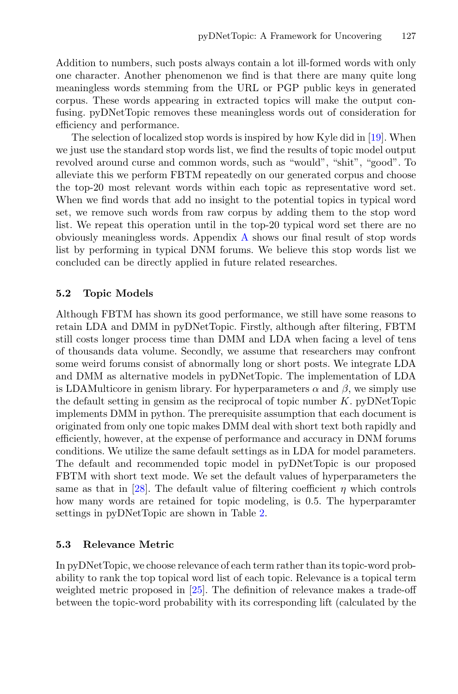Addition to numbers, such posts always contain a lot ill-formed words with only one character. Another phenomenon we find is that there are many quite long meaningless words stemming from the URL or PGP public keys in generated corpus. These words appearing in extracted topics will make the output confusing. pyDNetTopic removes these meaningless words out of consideration for efficiency and performance.

The selection of localized stop words is inspired by how Kyle did in [\[19\]](#page-20-9). When we just use the standard stop words list, we find the results of topic model output revolved around curse and common words, such as "would", "shit", "good". To alleviate this we perform FBTM repeatedly on our generated corpus and choose the top-20 most relevant words within each topic as representative word set. When we find words that add no insight to the potential topics in typical word set, we remove such words from raw corpus by adding them to the stop word list. We repeat this operation until in the top-20 typical word set there are no obviously meaningless words. Appendix [A](#page-16-0) shows our final result of stop words list by performing in typical DNM forums. We believe this stop words list we concluded can be directly applied in future related researches.

### 5.2 Topic Models

Although FBTM has shown its good performance, we still have some reasons to retain LDA and DMM in pyDNetTopic. Firstly, although after filtering, FBTM still costs longer process time than DMM and LDA when facing a level of tens of thousands data volume. Secondly, we assume that researchers may confront some weird forums consist of abnormally long or short posts. We integrate LDA and DMM as alternative models in pyDNetTopic. The implementation of LDA is LDAMulticore in genism library. For hyperparameters  $\alpha$  and  $\beta$ , we simply use the default setting in gensim as the reciprocal of topic number  $K$ . pyDNetTopic implements DMM in python. The prerequisite assumption that each document is originated from only one topic makes DMM deal with short text both rapidly and efficiently, however, at the expense of performance and accuracy in DNM forums conditions. We utilize the same default settings as in LDA for model parameters. The default and recommended topic model in pyDNetTopic is our proposed FBTM with short text mode. We set the default values of hyperparameters the same as that in [\[28](#page-21-3)]. The default value of filtering coefficient  $\eta$  which controls how many words are retained for topic modeling, is 0.5. The hyperparamter settings in pyDNetTopic are shown in Table [2.](#page-10-0)

### 5.3 Relevance Metric

In pyDNetTopic, we choose relevance of each term rather than its topic-word probability to rank the top topical word list of each topic. Relevance is a topical term weighted metric proposed in [\[25](#page-21-6)]. The definition of relevance makes a trade-off between the topic-word probability with its corresponding lift (calculated by the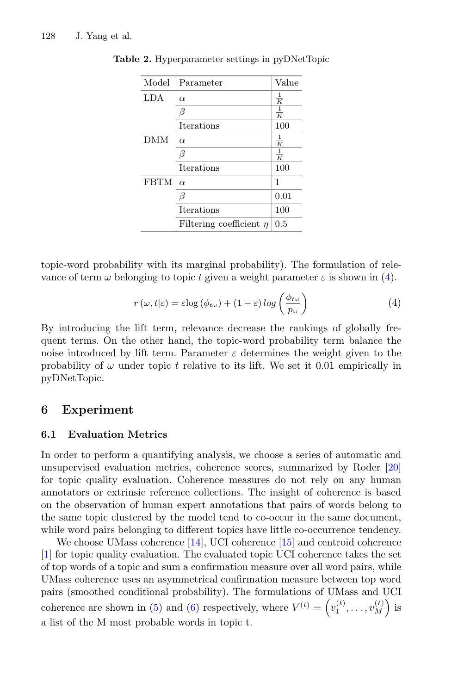| Model       | Parameter                    | Value         |
|-------------|------------------------------|---------------|
| <b>LDA</b>  | $\alpha$                     | $\frac{1}{K}$ |
|             | ß                            | $\frac{1}{K}$ |
|             | <b>Iterations</b>            | 100           |
| DMM         | $\alpha$                     | $\frac{1}{K}$ |
|             | β                            | $\frac{1}{K}$ |
|             | Iterations                   | 100           |
| <b>FBTM</b> | $\alpha$                     | 1             |
|             | ß                            | 0.01          |
|             | <b>Iterations</b>            | 100           |
|             | Filtering coefficient $\eta$ | 0.5           |

<span id="page-10-0"></span>Table 2. Hyperparameter settings in pyDNetTopic

topic-word probability with its marginal probability). The formulation of relevance of term  $\omega$  belonging to topic t given a weight parameter  $\varepsilon$  is shown in [\(4\)](#page-10-1).

<span id="page-10-1"></span>
$$
r(\omega, t|\varepsilon) = \varepsilon \log (\phi_{t\omega}) + (1 - \varepsilon) \log \left( \frac{\phi_{t\omega}}{p_{\omega}} \right)
$$
 (4)

By introducing the lift term, relevance decrease the rankings of globally frequent terms. On the other hand, the topic-word probability term balance the noise introduced by lift term. Parameter  $\varepsilon$  determines the weight given to the probability of  $\omega$  under topic t relative to its lift. We set it 0.01 empirically in pyDNetTopic.

#### 6 Experiment

#### 6.1 Evaluation Metrics

In order to perform a quantifying analysis, we choose a series of automatic and unsupervised evaluation metrics, coherence scores, summarized by Roder [\[20](#page-20-15)] for topic quality evaluation. Coherence measures do not rely on any human annotators or extrinsic reference collections. The insight of coherence is based on the observation of human expert annotations that pairs of words belong to the same topic clustered by the model tend to co-occur in the same document, while word pairs belonging to different topics have little co-occurrence tendency.

We choose UMass coherence [\[14\]](#page-20-16), UCI coherence [\[15](#page-20-17)] and centroid coherence [\[1](#page-19-3)] for topic quality evaluation. The evaluated topic UCI coherence takes the set of top words of a topic and sum a confirmation measure over all word pairs, while UMass coherence uses an asymmetrical confirmation measure between top word pairs (smoothed conditional probability). The formulations of UMass and UCI coherence are shown in [\(5\)](#page-11-0) and [\(6\)](#page-11-1) respectively, where  $V^{(t)} = \left(v_1^{(t)}, \ldots, v_M^{(t)}\right)$  is a list of the M most probable words in topic t.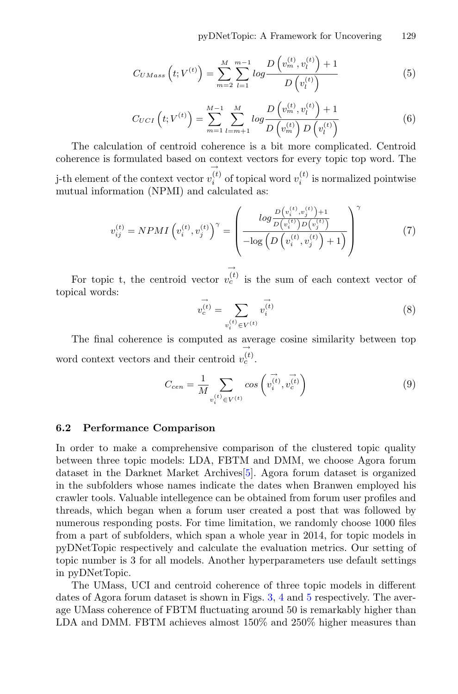<span id="page-11-0"></span>
$$
C_{UMass}\left(t;V^{(t)}\right) = \sum_{m=2}^{M} \sum_{l=1}^{m-1} \log \frac{D\left(v_m^{(t)}, v_l^{(t)}\right) + 1}{D\left(v_l^{(t)}\right)}\tag{5}
$$

<span id="page-11-1"></span>
$$
C_{UCI}\left(t;V^{(t)}\right) = \sum_{m=1}^{M-1} \sum_{l=m+1}^{M} \log \frac{D\left(v_m^{(t)}, v_l^{(t)}\right) + 1}{D\left(v_m^{(t)}\right)D\left(v_l^{(t)}\right)}\tag{6}
$$

The calculation of centroid coherence is a bit more complicated. Centroid coherence is formulated based on context vectors for every topic top word. The j-th element of the context vector  $\rightarrow$  $v_i^{(t)}$  of topical word  $v_i^{(t)}$  is normalized pointwise mutual information (NPMI) and calculated as:

$$
v_{ij}^{(t)} = NPMI \left( v_i^{(t)}, v_j^{(t)} \right)^{\gamma} = \left( \frac{\log \frac{D \left( v_i^{(t)}, v_j^{(t)} \right) + 1}{D \left( v_i^{(t)} \right) D \left( v_j^{(t)} \right)}}{-\log \left( D \left( v_i^{(t)}, v_j^{(t)} \right) + 1 \right)} \right)^{\gamma} \tag{7}
$$

For topic t, the centroid vector  $\rightarrow$  $v_c^{(t)}$  is the sum of each context vector of topical words:

$$
\vec{v_c^{(t)}} = \sum_{v_i^{(t)} \in V^{(t)}} \vec{v_i^{(t)}}
$$
\n(8)

The final coherence is computed as average cosine similarity between top word context vectors and their centroid →  $v_c^{(t)}$ .

$$
C_{cen} = \frac{1}{M} \sum_{v_i^{(t)} \in V^{(t)}} \cos\left(\vec{v_i^{(t)}}, \vec{v_c^{(t)}}\right)
$$
\n(9)

#### 6.2 Performance Comparison

In order to make a comprehensive comparison of the clustered topic quality between three topic models: LDA, FBTM and DMM, we choose Agora forum dataset in the Darknet Market Archives[\[5\]](#page-20-18). Agora forum dataset is organized in the subfolders whose names indicate the dates when Branwen employed his crawler tools. Valuable intellegence can be obtained from forum user profiles and threads, which began when a forum user created a post that was followed by numerous responding posts. For time limitation, we randomly choose 1000 files from a part of subfolders, which span a whole year in 2014, for topic models in pyDNetTopic respectively and calculate the evaluation metrics. Our setting of topic number is 3 for all models. Another hyperparameters use default settings in pyDNetTopic.

The UMass, UCI and centroid coherence of three topic models in different dates of Agora forum dataset is shown in Figs. [3,](#page-12-0) [4](#page-12-1) and [5](#page-12-2) respectively. The average UMass coherence of FBTM fluctuating around 50 is remarkably higher than LDA and DMM. FBTM achieves almost 150% and 250% higher measures than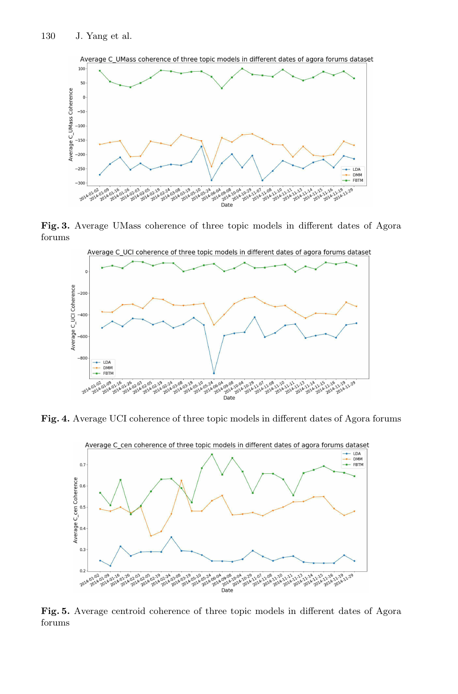

Fig. 3. Average UMass coherence of three topic models in different dates of Agora forums

<span id="page-12-0"></span>

Fig. 4. Average UCI coherence of three topic models in different dates of Agora forums

<span id="page-12-1"></span>

<span id="page-12-2"></span>Fig. 5. Average centroid coherence of three topic models in different dates of Agora forums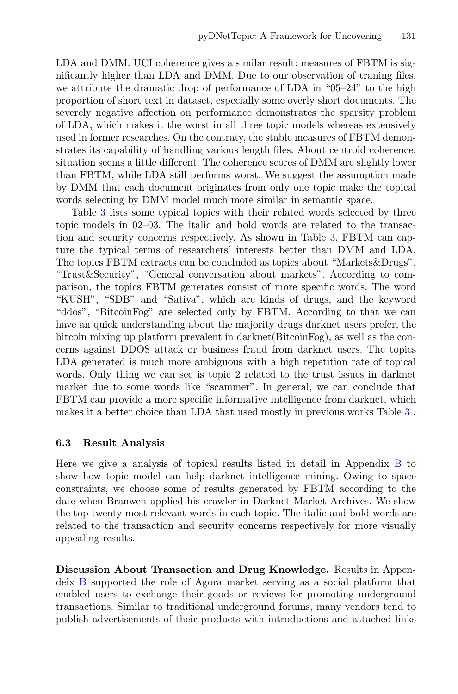LDA and DMM. UCI coherence gives a similar result: measures of FBTM is significantly higher than LDA and DMM. Due to our observation of traning files, we attribute the dramatic drop of performance of LDA in "05–24" to the high proportion of short text in dataset, especially some overly short documents. The severely negative affection on performance demonstrates the sparsity problem of LDA, which makes it the worst in all three topic models whereas extensively used in former researches. On the contraty, the stable measures of FBTM demonstrates its capability of handling various length files. About centroid coherence, situation seems a little different. The coherence scores of DMM are slightly lower than FBTM, while LDA still performs worst. We suggest the assumption made by DMM that each document originates from only one topic make the topical words selecting by DMM model much more similar in semantic space.

Table [3](#page-14-0) lists some typical topics with their related words selected by three topic models in 02–03. The italic and bold words are related to the transaction and security concerns respectively. As shown in Table [3,](#page-14-0) FBTM can capture the typical terms of researchers' interests better than DMM and LDA. The topics FBTM extracts can be concluded as topics about "Markets&Drugs", "Trust&Security", "General conversation about markets". According to comparison, the topics FBTM generates consist of more specific words. The word "KUSH", "SDB" and "Sativa", which are kinds of drugs, and the keyword "ddos", "BitcoinFog" are selected only by FBTM. According to that we can have an quick understanding about the majority drugs darknet users prefer, the bitcoin mixing up platform prevalent in darknet(BitcoinFog), as well as the concerns against DDOS attack or business fraud from darknet users. The topics LDA generated is much more ambiguous with a high repetition rate of topical words. Only thing we can see is topic 2 related to the trust issues in darknet market due to some words like "scammer". In general, we can conclude that FBTM can provide a more specific informative intelligence from darknet, which makes it a better choice than LDA that used mostly in previous works Table [3](#page-14-0) .

#### 6.3 Result Analysis

Here we give a analysis of topical results listed in detail in Appendix [B](#page-16-1) to show how topic model can help darknet intelligence mining. Owing to space constraints, we choose some of results generated by FBTM according to the date when Branwen applied his crawler in Darknet Market Archives. We show the top twenty most relevant words in each topic. The italic and bold words are related to the transaction and security concerns respectively for more visually appealing results.

Discussion About Transaction and Drug Knowledge. Results in Appendeix [B](#page-16-1) supported the role of Agora market serving as a social platform that enabled users to exchange their goods or reviews for promoting underground transactions. Similar to traditional underground forums, many vendors tend to publish advertisements of their products with introductions and attached links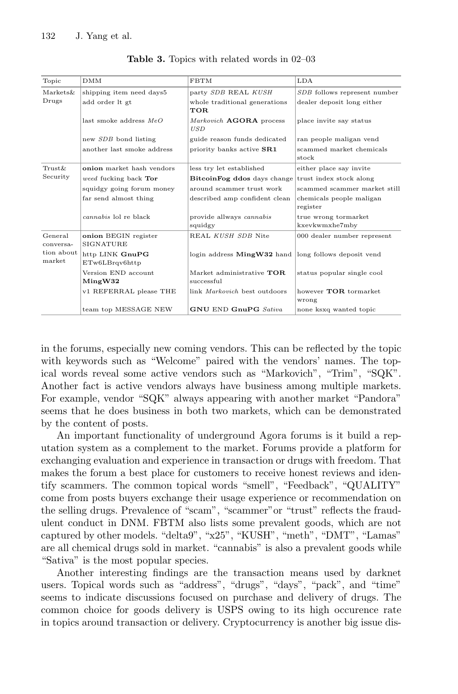<span id="page-14-0"></span>

| Topic                | <b>DMM</b>                               | <b>FBTM</b>                                  | LDA                                    |
|----------------------|------------------------------------------|----------------------------------------------|----------------------------------------|
| Markets&             | shipping item need days5                 | party SDB REAL KUSH                          | SDB follows represent number           |
| Drugs                | add order lt gt                          | whole traditional generations<br>TOR.        | dealer deposit long either             |
|                      | last smoke address $MeO$                 | Markovich <b>AGORA</b> process<br><b>USD</b> | place invite say status                |
|                      | new SDB bond listing                     | guide reason funds dedicated                 | ran people maligan vend                |
|                      | another last smoke address               | priority banks active SR1                    | scammed market chemicals<br>stock      |
| $Trust\&$            | onion market hash vendors                | less try let established                     | either place say invite                |
| Security             | weed fucking back Tor                    | BitcoinFog ddos days change                  | trust index stock along                |
|                      | squidgy going forum money                | around scammer trust work                    | scammed scammer market still           |
|                      | far send almost thing                    | described amp confident clean                | chemicals people maligan<br>register   |
|                      | <i>cannabis</i> lol re black             | provide allways cannabis<br>squidgy          | true wrong tormarket<br>kxevkwmxhe7mby |
| General<br>conversa- | onion BEGIN register<br><b>SIGNATURE</b> | REAL KUSH SDB Nite                           | 000 dealer number represent            |
| tion about<br>market | http LINK GnuPG<br>ETw6LBrqv6http        | login address MingW32 hand                   | long follows deposit vend              |
|                      | Version END account<br>MingW32           | Market administrative TOR<br>successful      | status popular single cool             |
|                      | v1 REFERRAL please THE                   | link <i>Markovich</i> best outdoors          | however TOR tormarket<br>wrong         |
|                      | team top MESSAGE NEW                     | <b>GNU END GnuPG</b> Sativa                  | none ksxq wanted topic                 |

Table 3. Topics with related words in 02–03

in the forums, especially new coming vendors. This can be reflected by the topic with keywords such as "Welcome" paired with the vendors' names. The topical words reveal some active vendors such as "Markovich", "Trim", "SQK". Another fact is active vendors always have business among multiple markets. For example, vendor "SQK" always appearing with another market "Pandora" seems that he does business in both two markets, which can be demonstrated by the content of posts.

An important functionality of underground Agora forums is it build a reputation system as a complement to the market. Forums provide a platform for exchanging evaluation and experience in transaction or drugs with freedom. That makes the forum a best place for customers to receive honest reviews and identify scammers. The common topical words "smell", "Feedback", "QUALITY" come from posts buyers exchange their usage experience or recommendation on the selling drugs. Prevalence of "scam", "scammer"or "trust" reflects the fraudulent conduct in DNM. FBTM also lists some prevalent goods, which are not captured by other models. "delta9", "x25", "KUSH", "meth", "DMT", "Lamas" are all chemical drugs sold in market. "cannabis" is also a prevalent goods while "Sativa" is the most popular species.

Another interesting findings are the transaction means used by darknet users. Topical words such as "address", "drugs", "days", "pack", and "time" seems to indicate discussions focused on purchase and delivery of drugs. The common choice for goods delivery is USPS owing to its high occurence rate in topics around transaction or delivery. Cryptocurrency is another big issue dis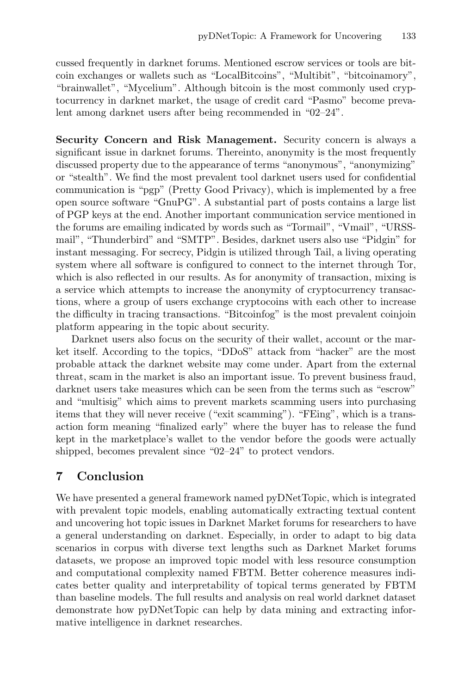cussed frequently in darknet forums. Mentioned escrow services or tools are bitcoin exchanges or wallets such as "LocalBitcoins", "Multibit", "bitcoinamory", "brainwallet", "Mycelium". Although bitcoin is the most commonly used cryptocurrency in darknet market, the usage of credit card "Pasmo" become prevalent among darknet users after being recommended in "02–24".

Security Concern and Risk Management. Security concern is always a significant issue in darknet forums. Thereinto, anonymity is the most frequently discussed property due to the appearance of terms "anonymous", "anonymizing" or "stealth". We find the most prevalent tool darknet users used for confidential communication is "pgp" (Pretty Good Privacy), which is implemented by a free open source software "GnuPG". A substantial part of posts contains a large list of PGP keys at the end. Another important communication service mentioned in the forums are emailing indicated by words such as "Tormail", "Vmail", "URSSmail", "Thunderbird" and "SMTP". Besides, darknet users also use "Pidgin" for instant messaging. For secrecy, Pidgin is utilized through Tail, a living operating system where all software is configured to connect to the internet through Tor, which is also reflected in our results. As for anonymity of transaction, mixing is a service which attempts to increase the anonymity of cryptocurrency transactions, where a group of users exchange cryptocoins with each other to increase the difficulty in tracing transactions. "Bitcoinfog" is the most prevalent coinjoin platform appearing in the topic about security.

Darknet users also focus on the security of their wallet, account or the market itself. According to the topics, "DDoS" attack from "hacker" are the most probable attack the darknet website may come under. Apart from the external threat, scam in the market is also an important issue. To prevent business fraud, darknet users take measures which can be seen from the terms such as "escrow" and "multisig" which aims to prevent markets scamming users into purchasing items that they will never receive ("exit scamming"). "FEing", which is a transaction form meaning "finalized early" where the buyer has to release the fund kept in the marketplace's wallet to the vendor before the goods were actually shipped, becomes prevalent since "02–24" to protect vendors.

# 7 Conclusion

We have presented a general framework named pyDNetTopic, which is integrated with prevalent topic models, enabling automatically extracting textual content and uncovering hot topic issues in Darknet Market forums for researchers to have a general understanding on darknet. Especially, in order to adapt to big data scenarios in corpus with diverse text lengths such as Darknet Market forums datasets, we propose an improved topic model with less resource consumption and computational complexity named FBTM. Better coherence measures indicates better quality and interpretability of topical terms generated by FBTM than baseline models. The full results and analysis on real world darknet dataset demonstrate how pyDNetTopic can help by data mining and extracting informative intelligence in darknet researches.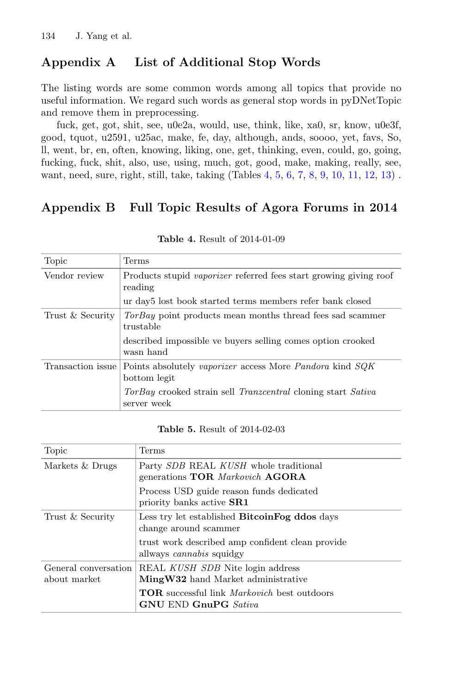# <span id="page-16-0"></span>Appendix A List of Additional Stop Words

The listing words are some common words among all topics that provide no useful information. We regard such words as general stop words in pyDNetTopic and remove them in preprocessing.

fuck, get, got, shit, see, u0e2a, would, use, think, like, xa0, sr, know, u0e3f, good, tquot, u2591, u25ac, make, fe, day, although, ands, soooo, yet, favs, So, ll, went, br, en, often, knowing, liking, one, get, thinking, even, could, go, going, fucking, fuck, shit, also, use, using, much, got, good, make, making, really, see, want, need, sure, right, still, take, taking (Tables [4,](#page-16-2) [5,](#page-16-3) [6,](#page-17-0) [7,](#page-17-1) [8,](#page-17-2) [9,](#page-18-0) [10,](#page-18-1) [11,](#page-18-2) [12,](#page-19-4) [13\)](#page-19-5).

# <span id="page-16-1"></span>Appendix B Full Topic Results of Agora Forums in 2014

<span id="page-16-2"></span>

| Topic             | Terms                                                                                            |
|-------------------|--------------------------------------------------------------------------------------------------|
| Vendor review     | Products stupid <i>vaporizer</i> referred fees start growing giving roof<br>reading              |
|                   | ur day <sub>5</sub> lost book started terms members refer bank closed                            |
| Trust & Security  | <i>TorBay</i> point products mean months thread fees sad scammer<br>trustable                    |
|                   | described impossible ve buyers selling comes option crooked<br>wasn hand                         |
| Transaction issue | Points absolutely vaporizer access More Pandora kind SQK<br>bottom legit                         |
|                   | <i>TorBay</i> crooked strain sell <i>Tranzcentral</i> cloning start <i>Sativa</i><br>server week |

Table 4. Result of 2014-01-09

#### Table 5. Result of 2014-02-03

<span id="page-16-3"></span>

| Topic                                | Terms                                                                                                                                                                 |
|--------------------------------------|-----------------------------------------------------------------------------------------------------------------------------------------------------------------------|
| Markets & Drugs                      | Party SDB REAL KUSH whole traditional<br>generations TOR Markovich AGORA<br>Process USD guide reason funds dedicated<br>priority banks active <b>SR1</b>              |
| Trust & Security                     | Less try let established <b>Bitcoin Fog ddos</b> days<br>change around scammer<br>trust work described amp confident clean provide<br>allways <i>cannabis</i> squidgy |
| General conversation<br>about market | REAL KUSH SDB Nite login address<br>MingW32 hand Market administrative<br><b>TOR</b> successful link <i>Markovich</i> best outdoors<br><b>GNU END GnuPG</b> Sativa    |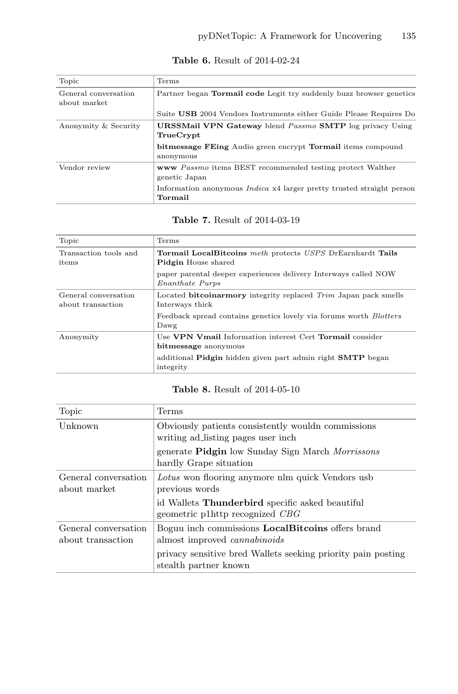<span id="page-17-0"></span>

| Topic                                | <b>Terms</b>                                                                            |  |
|--------------------------------------|-----------------------------------------------------------------------------------------|--|
| General conversation<br>about market | Partner began <b>Tormail code</b> Legit try suddenly buzz browser genetics              |  |
|                                      | Suite USB 2004 Vendors Instruments either Guide Please Requires Do                      |  |
| Anonymity & Security                 | <b>URSSMail VPN Gateway</b> blend Passmo SMTP log privacy Using<br>TrueCrypt            |  |
|                                      | <b>bitmessage FEing</b> Audio green encrypt <b>Tormail</b> items compound<br>anonymous  |  |
| Vendor review                        | www Passmo items BEST recommended testing protect Walther<br>genetic Japan              |  |
|                                      | Information anonymous <i>Indica</i> x4 larger pretty trusted straight person<br>Tormail |  |

Table 6. Result of 2014-02-24

### Table 7. Result of 2014-03-19

<span id="page-17-1"></span>

| Topic                                     | Terms                                                                                                                                                                                 |
|-------------------------------------------|---------------------------------------------------------------------------------------------------------------------------------------------------------------------------------------|
| Transaction tools and<br>items            | <b>Tormail LocalBitcoins</b> meth protects USPS DrEarnhardt Tails<br><b>Pidgin</b> House shared<br>paper parental deeper experiences delivery Interways called NOW<br>Enanthate Purps |
| General conversation<br>about transaction | Located bitcoinarmory integrity replaced Trim Japan pack smells<br>Interways thick<br>Feedback spread contains genetics lovely via forums worth <i>Blotters</i><br>Dawg               |
| Anonymity                                 | Use VPN Vmail Information interest Cert Tormail consider<br>bitmessage anonymous<br>additional <b>Pidgin</b> hidden given part admin right <b>SMTP</b> began<br>integrity             |

#### Table 8. Result of 2014-05-10

<span id="page-17-2"></span>

| Topic                                     | Terms                                                                                                                                                                                    |
|-------------------------------------------|------------------------------------------------------------------------------------------------------------------------------------------------------------------------------------------|
| Unknown                                   | Obviously patients consistently wouldn commissions<br>writing ad listing pages user inch.<br>generate <b>Pidgin</b> low Sunday Sign March <i>Morrissons</i><br>hardly Grape situation    |
| General conversation<br>about market      | Lotus won flooring anymore nlm quick Vendors usb<br>previous words<br>id Wallets Thunderbird specific asked beautiful<br>geometric p1http recognized CBG                                 |
| General conversation<br>about transaction | Boguu inch commissions <b>LocalBitcoins</b> offers brand<br>almost improved <i>cannabinoids</i><br>privacy sensitive bred Wallets seeking priority pain posting<br>stealth partner known |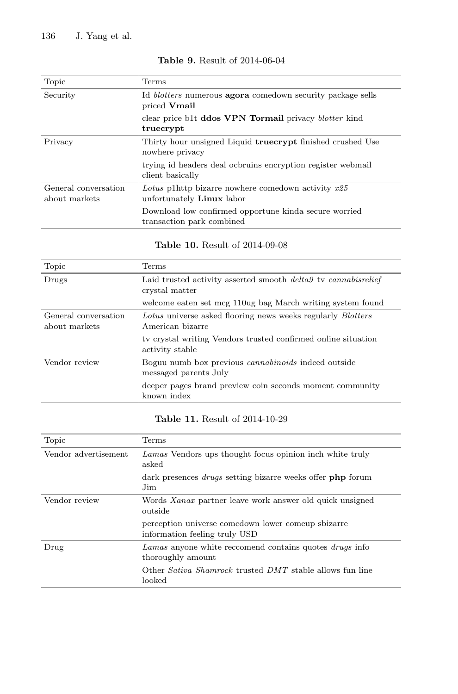<span id="page-18-0"></span>

| Topic                                 | Terms                                                                                    |
|---------------------------------------|------------------------------------------------------------------------------------------|
| Security                              | Id <i>blotters</i> numerous <b>agora</b> comedown security package sells<br>priced Vmail |
|                                       | clear price b1t <b>ddos VPN Tormail</b> privacy <i>blotter</i> kind<br>truecrypt         |
| Privacy                               | Thirty hour unsigned Liquid <b>truecrypt</b> finished crushed Use<br>nowhere privacy     |
|                                       | trying id headers deal ochruins encryption register webmail<br>client basically          |
| General conversation<br>about markets | Lotus p1http bizarre nowhere comedown activity $x25$<br>unfortunately <b>Linux</b> labor |
|                                       | Download low confirmed opportune kinda secure worried<br>transaction park combined       |

#### Table 9. Result of 2014-06-04

# Table 10. Result of 2014-09-08

<span id="page-18-1"></span>

| Topic                                 | Terms                                                                                                                                            |
|---------------------------------------|--------------------------------------------------------------------------------------------------------------------------------------------------|
| Drugs                                 | Laid trusted activity asserted smooth <i>delta9</i> tv <i>cannabisrelief</i><br>crystal matter                                                   |
|                                       | welcome eaten set mcg 110ug bag March writing system found                                                                                       |
| General conversation<br>about markets | Lotus universe asked flooring news weeks regularly Blotters<br>American bizarre<br>ty crystal writing Vendors trusted confirmed online situation |
|                                       | activity stable                                                                                                                                  |
| Vendor review                         | Boguu numb box previous <i>cannabinoids</i> indeed outside<br>messaged parents July                                                              |
|                                       | deeper pages brand preview coin seconds moment community<br>known index                                                                          |

## Table 11. Result of 2014-10-29

<span id="page-18-2"></span>

| Topic                | Terms                                                                               |
|----------------------|-------------------------------------------------------------------------------------|
| Vendor advertisement | Lamas Vendors ups thought focus opinion inch white truly<br>asked                   |
|                      | dark presences <i>drugs</i> setting bizarre weeks offer <b>php</b> forum<br>Jim     |
| Vendor review        | Words Xanax partner leave work answer old quick unsigned<br>outside                 |
|                      | perception universe comedown lower comeup sbizarre<br>information feeling truly USD |
| Drug                 | Lamas anyone white reccomend contains quotes drugs info<br>thoroughly amount        |
|                      | Other Sativa Shamrock trusted DMT stable allows fun line<br>looked                  |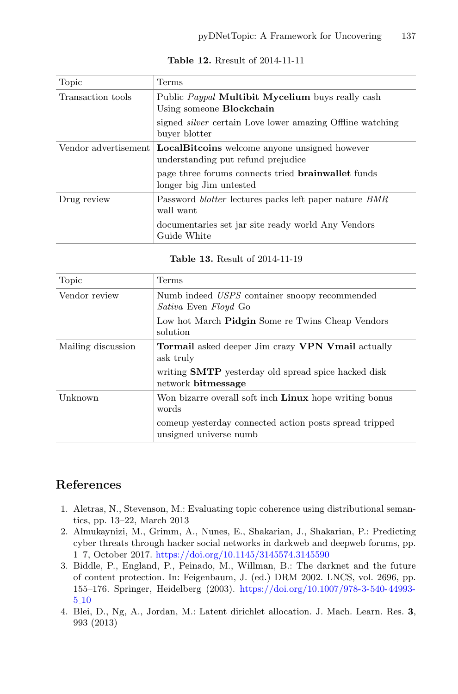<span id="page-19-4"></span>

| Topic                | Terms                                                                                             |  |
|----------------------|---------------------------------------------------------------------------------------------------|--|
| Transaction tools    | Public <i>Paypal</i> <b>Multibit Mycelium</b> buys really cash<br>Using someone <b>Blockchain</b> |  |
|                      | signed <i>silver</i> certain Love lower amazing Offline watching<br>buyer blotter                 |  |
| Vendor advertisement | <b>LocalBitcoins</b> welcome anyone unsigned however<br>understanding put refund prejudice        |  |
|                      | page three forums connects tried <b>brainwallet</b> funds<br>longer big Jim untested              |  |
| Drug review          | Password <i>blotter</i> lectures packs left paper nature <i>BMR</i><br>wall want                  |  |
|                      | documentaries set jar site ready world Any Vendors<br>Guide White                                 |  |

Table 12. Rresult of 2014-11-11

|  |  | <b>Table 13.</b> Result of 2014-11-19 |
|--|--|---------------------------------------|
|--|--|---------------------------------------|

<span id="page-19-5"></span>

| Topic              | Terms                                                                               |
|--------------------|-------------------------------------------------------------------------------------|
| Vendor review      | Numb indeed USPS container snoopy recommended<br><i>Sativa</i> Even <i>Floyd</i> Go |
|                    | Low hot March <b>Pidgin</b> Some re Twins Cheap Vendors<br>solution                 |
| Mailing discussion | <b>Tormail</b> asked deeper Jim crazy <b>VPN Vmail</b> actually<br>ask truly        |
|                    | writing <b>SMTP</b> vesterday old spread spice hacked disk<br>network bitmessage    |
| Unknown            | Won bizarre overall soft inch <b>Linux</b> hope writing bonus<br>words              |
|                    | comeup vesterday connected action posts spread tripped<br>unsigned universe numb    |

# References

- <span id="page-19-3"></span>1. Aletras, N., Stevenson, M.: Evaluating topic coherence using distributional semantics, pp. 13–22, March 2013
- <span id="page-19-1"></span>2. Almukaynizi, M., Grimm, A., Nunes, E., Shakarian, J., Shakarian, P.: Predicting cyber threats through hacker social networks in darkweb and deepweb forums, pp. 1–7, October 2017. <https://doi.org/10.1145/3145574.3145590>
- <span id="page-19-0"></span>3. Biddle, P., England, P., Peinado, M., Willman, B.: The darknet and the future of content protection. In: Feigenbaum, J. (ed.) DRM 2002. LNCS, vol. 2696, pp. 155–176. Springer, Heidelberg (2003). [https://doi.org/10.1007/978-3-540-44993-](https://doi.org/10.1007/978-3-540-44993-5_10) 5 [10](https://doi.org/10.1007/978-3-540-44993-5_10)
- <span id="page-19-2"></span>4. Blei, D., Ng, A., Jordan, M.: Latent dirichlet allocation. J. Mach. Learn. Res. 3, 993 (2013)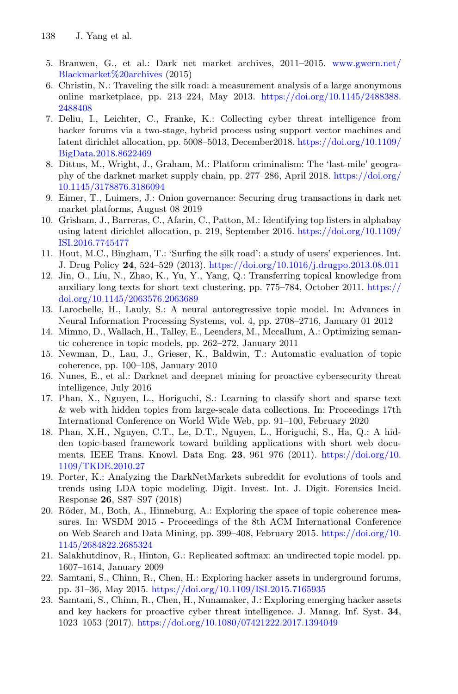- <span id="page-20-18"></span>5. Branwen, G., et al.: Dark net market archives, 2011–2015. [www.gwern.net/](www.gwern.net/Blackmarket%20archives) [Blackmarket%20archives](www.gwern.net/Blackmarket%20archives) (2015)
- <span id="page-20-0"></span>6. Christin, N.: Traveling the silk road: a measurement analysis of a large anonymous online marketplace, pp. 213–224, May 2013. [https://doi.org/10.1145/2488388.](https://doi.org/10.1145/2488388.2488408) [2488408](https://doi.org/10.1145/2488388.2488408)
- <span id="page-20-8"></span>7. Deliu, I., Leichter, C., Franke, K.: Collecting cyber threat intelligence from hacker forums via a two-stage, hybrid process using support vector machines and latent dirichlet allocation, pp. 5008–5013, December2018. [https://doi.org/10.1109/](https://doi.org/10.1109/BigData.2018.8622469) [BigData.2018.8622469](https://doi.org/10.1109/BigData.2018.8622469)
- <span id="page-20-3"></span>8. Dittus, M., Wright, J., Graham, M.: Platform criminalism: The 'last-mile' geography of the darknet market supply chain, pp. 277–286, April 2018. [https://doi.org/](https://doi.org/10.1145/3178876.3186094) [10.1145/3178876.3186094](https://doi.org/10.1145/3178876.3186094)
- <span id="page-20-1"></span>9. Eimer, T., Luimers, J.: Onion governance: Securing drug transactions in dark net market platforms, August 08 2019
- <span id="page-20-5"></span>10. Grisham, J., Barreras, C., Afarin, C., Patton, M.: Identifying top listers in alphabay using latent dirichlet allocation, p. 219, September 2016. [https://doi.org/10.1109/](https://doi.org/10.1109/ISI.2016.7745477) [ISI.2016.7745477](https://doi.org/10.1109/ISI.2016.7745477)
- <span id="page-20-2"></span>11. Hout, M.C., Bingham, T.: 'Surfing the silk road': a study of users' experiences. Int. J. Drug Policy 24, 524–529 (2013). <https://doi.org/10.1016/j.drugpo.2013.08.011>
- <span id="page-20-12"></span>12. Jin, O., Liu, N., Zhao, K., Yu, Y., Yang, Q.: Transferring topical knowledge from auxiliary long texts for short text clustering, pp. 775–784, October 2011. [https://](https://doi.org/10.1145/2063576.2063689) [doi.org/10.1145/2063576.2063689](https://doi.org/10.1145/2063576.2063689)
- <span id="page-20-14"></span>13. Larochelle, H., Lauly, S.: A neural autoregressive topic model. In: Advances in Neural Information Processing Systems, vol. 4, pp. 2708–2716, January 01 2012
- <span id="page-20-16"></span>14. Mimno, D., Wallach, H., Talley, E., Leenders, M., Mccallum, A.: Optimizing semantic coherence in topic models, pp. 262–272, January 2011
- <span id="page-20-17"></span>15. Newman, D., Lau, J., Grieser, K., Baldwin, T.: Automatic evaluation of topic coherence, pp. 100–108, January 2010
- <span id="page-20-4"></span>16. Nunes, E., et al.: Darknet and deepnet mining for proactive cybersecurity threat intelligence, July 2016
- <span id="page-20-10"></span>17. Phan, X., Nguyen, L., Horiguchi, S.: Learning to classify short and sparse text & web with hidden topics from large-scale data collections. In: Proceedings 17th International Conference on World Wide Web, pp. 91–100, February 2020
- <span id="page-20-11"></span>18. Phan, X.H., Nguyen, C.T., Le, D.T., Nguyen, L., Horiguchi, S., Ha, Q.: A hidden topic-based framework toward building applications with short web documents. IEEE Trans. Knowl. Data Eng. 23, 961–976 (2011). [https://doi.org/10.](https://doi.org/10.1109/TKDE.2010.27) [1109/TKDE.2010.27](https://doi.org/10.1109/TKDE.2010.27)
- <span id="page-20-9"></span>19. Porter, K.: Analyzing the DarkNetMarkets subreddit for evolutions of tools and trends using LDA topic modeling. Digit. Invest. Int. J. Digit. Forensics Incid. Response 26, S87–S97 (2018)
- <span id="page-20-15"></span>20. Röder, M., Both, A., Hinneburg, A.: Exploring the space of topic coherence measures. In: WSDM 2015 - Proceedings of the 8th ACM International Conference on Web Search and Data Mining, pp. 399–408, February 2015. [https://doi.org/10.](https://doi.org/10.1145/2684822.2685324) [1145/2684822.2685324](https://doi.org/10.1145/2684822.2685324)
- <span id="page-20-13"></span>21. Salakhutdinov, R., Hinton, G.: Replicated softmax: an undirected topic model. pp. 1607–1614, January 2009
- <span id="page-20-6"></span>22. Samtani, S., Chinn, R., Chen, H.: Exploring hacker assets in underground forums, pp. 31–36, May 2015. <https://doi.org/10.1109/ISI.2015.7165935>
- <span id="page-20-7"></span>23. Samtani, S., Chinn, R., Chen, H., Nunamaker, J.: Exploring emerging hacker assets and key hackers for proactive cyber threat intelligence. J. Manag. Inf. Syst. 34, 1023–1053 (2017). <https://doi.org/10.1080/07421222.2017.1394049>